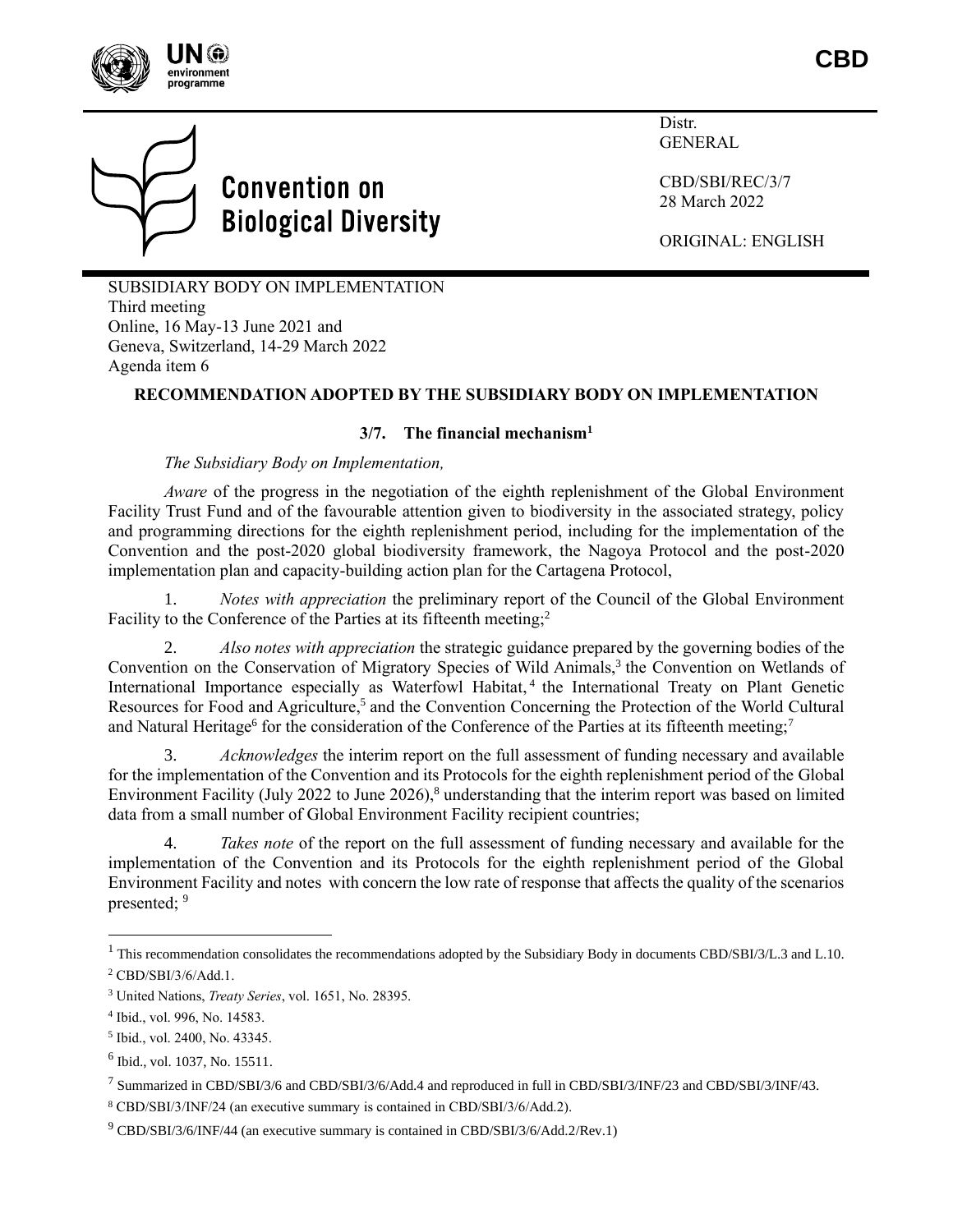



Distr. GENERAL

CBD/SBI/REC/3/7 28 March 2022

ORIGINAL: ENGLISH

SUBSIDIARY BODY ON IMPLEMENTATION Third meeting Online, 16 May-13 June 2021 and Geneva, Switzerland, 14-29 March 2022 Agenda item 6

## **RECOMMENDATION ADOPTED BY THE SUBSIDIARY BODY ON IMPLEMENTATION**

### **3/7. The financial mechanism<sup>1</sup>**

*The Subsidiary Body on Implementation,*

*Aware* of the progress in the negotiation of the eighth replenishment of the Global Environment Facility Trust Fund and of the favourable attention given to biodiversity in the associated strategy, policy and programming directions for the eighth replenishment period, including for the implementation of the Convention and the post-2020 global biodiversity framework, the Nagoya Protocol and the post-2020 implementation plan and capacity-building action plan for the Cartagena Protocol,

1. *Notes with appreciation* the preliminary report of the Council of the Global Environment Facility to the Conference of the Parties at its fifteenth meeting;<sup>2</sup>

2. *Also notes with appreciation* the strategic guidance prepared by the governing bodies of the Convention on the Conservation of Migratory Species of Wild Animals,<sup>3</sup> the Convention on Wetlands of International Importance especially as Waterfowl Habitat, 4 the International Treaty on Plant Genetic Resources for Food and Agriculture,<sup>5</sup> and the Convention Concerning the Protection of the World Cultural and Natural Heritage<sup>6</sup> for the consideration of the Conference of the Parties at its fifteenth meeting;<sup>7</sup>

3. *Acknowledges* the interim report on the full assessment of funding necessary and available for the implementation of the Convention and its Protocols for the eighth replenishment period of the Global Environment Facility (July 2022 to June 2026),<sup>8</sup> understanding that the interim report was based on limited data from a small number of Global Environment Facility recipient countries;

4. *Takes note* of the report on the full assessment of funding necessary and available for the implementation of the Convention and its Protocols for the eighth replenishment period of the Global Environment Facility and notes with concern the low rate of response that affects the quality of the scenarios presented; 9

 $1$  This recommendation consolidates the recommendations adopted by the Subsidiary Body in documents CBD/SBI/3/L.3 and L.10. <sup>2</sup> CBD/SBI/3/6/Add.1.

<sup>3</sup> United Nations, *Treaty Series*, vol. 1651, No. 28395.

<sup>4</sup> Ibid., vol. 996, No. 14583.

<sup>5</sup> Ibid., vol. 2400, No. 43345.

<sup>6</sup> Ibid., vol. 1037, No. 15511.

<sup>7</sup> Summarized in CBD/SBI/3/6 and CBD/SBI/3/6/Add.4 and reproduced in full in CBD/SBI/3/INF/23 and CBD/SBI/3/INF/43.

<sup>8</sup> CBD/SBI/3/INF/24 (an executive summary is contained in CBD/SBI/3/6/Add.2).

 $9^9$  CBD/SBI/3/6/INF/44 (an executive summary is contained in CBD/SBI/3/6/Add.2/Rev.1)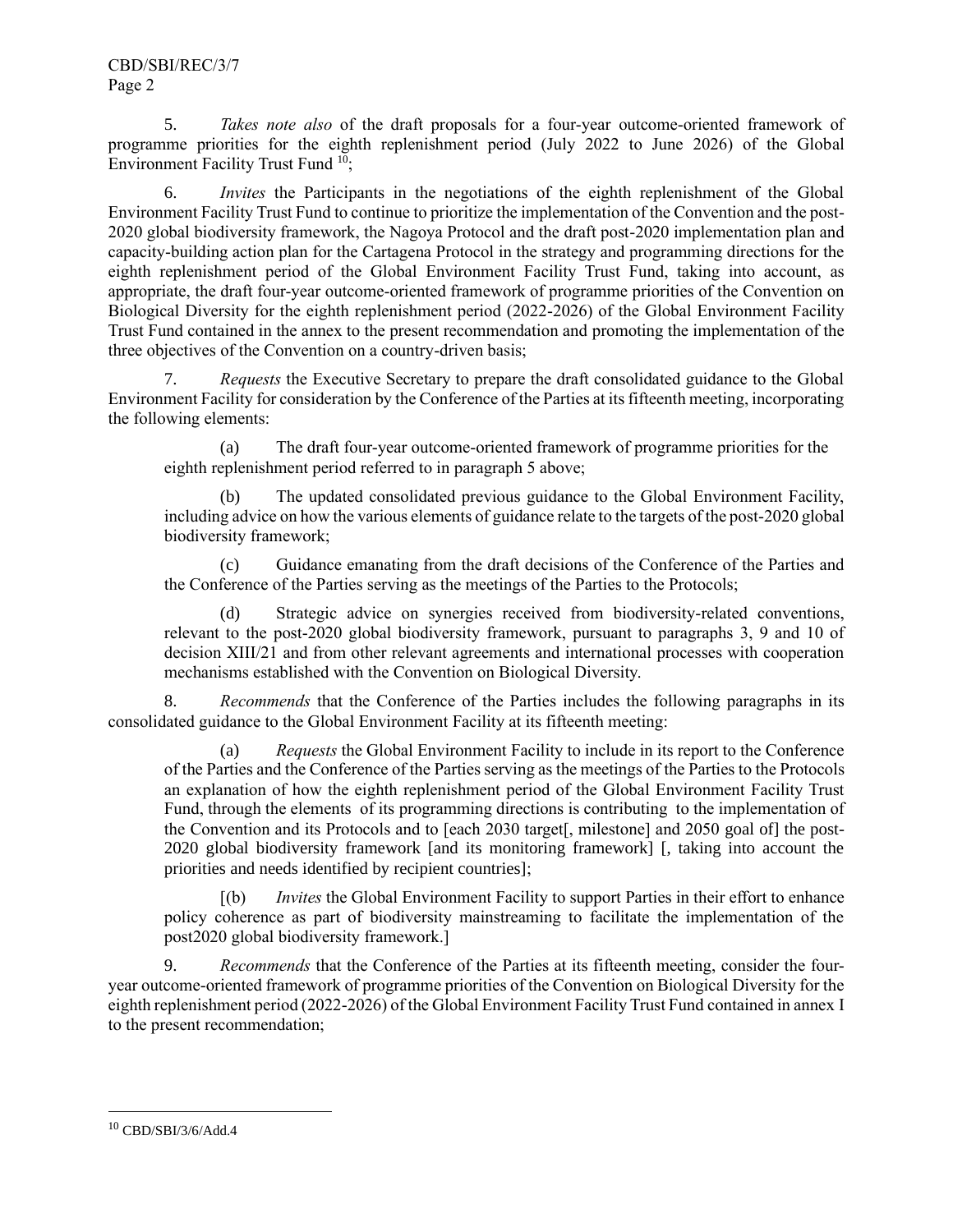5. *Takes note also* of the draft proposals for a four-year outcome-oriented framework of programme priorities for the eighth replenishment period (July 2022 to June 2026) of the Global Environment Facility Trust Fund <sup>10</sup>;

6. *Invites* the Participants in the negotiations of the eighth replenishment of the Global Environment Facility Trust Fund to continue to prioritize the implementation of the Convention and the post-2020 global biodiversity framework, the Nagoya Protocol and the draft post-2020 implementation plan and capacity-building action plan for the Cartagena Protocol in the strategy and programming directions for the eighth replenishment period of the Global Environment Facility Trust Fund, taking into account, as appropriate, the draft four-year outcome-oriented framework of programme priorities of the Convention on Biological Diversity for the eighth replenishment period (2022-2026) of the Global Environment Facility Trust Fund contained in the annex to the present recommendation and promoting the implementation of the three objectives of the Convention on a country-driven basis;

7. *Requests* the Executive Secretary to prepare the draft consolidated guidance to the Global Environment Facility for consideration by the Conference of the Parties at its fifteenth meeting, incorporating the following elements:

(a) The draft four-year outcome-oriented framework of programme priorities for the eighth replenishment period referred to in paragraph 5 above;

(b) The updated consolidated previous guidance to the Global Environment Facility, including advice on how the various elements of guidance relate to the targets of the post-2020 global biodiversity framework;

(c) Guidance emanating from the draft decisions of the Conference of the Parties and the Conference of the Parties serving as the meetings of the Parties to the Protocols;

(d) Strategic advice on synergies received from biodiversity-related conventions, relevant to the post-2020 global biodiversity framework, pursuant to paragraphs 3, 9 and 10 of decision XIII/21 and from other relevant agreements and international processes with cooperation mechanisms established with the Convention on Biological Diversity.

8. *Recommends* that the Conference of the Parties includes the following paragraphs in its consolidated guidance to the Global Environment Facility at its fifteenth meeting:

(a) *Requests* the Global Environment Facility to include in its report to the Conference of the Parties and the Conference of the Parties serving as the meetings of the Parties to the Protocols an explanation of how the eighth replenishment period of the Global Environment Facility Trust Fund, through the elements of its programming directions is contributing to the implementation of the Convention and its Protocols and to [each 2030 target[, milestone] and 2050 goal of] the post-2020 global biodiversity framework [and its monitoring framework] [, taking into account the priorities and needs identified by recipient countries];

[(b) *Invites* the Global Environment Facility to support Parties in their effort to enhance policy coherence as part of biodiversity mainstreaming to facilitate the implementation of the post2020 global biodiversity framework.]

9. *Recommends* that the Conference of the Parties at its fifteenth meeting, consider the fouryear outcome-oriented framework of programme priorities of the Convention on Biological Diversity for the eighth replenishment period (2022-2026) of the Global Environment Facility Trust Fund contained in annex I to the present recommendation;

<sup>10</sup> CBD/SBI/3/6/Add.4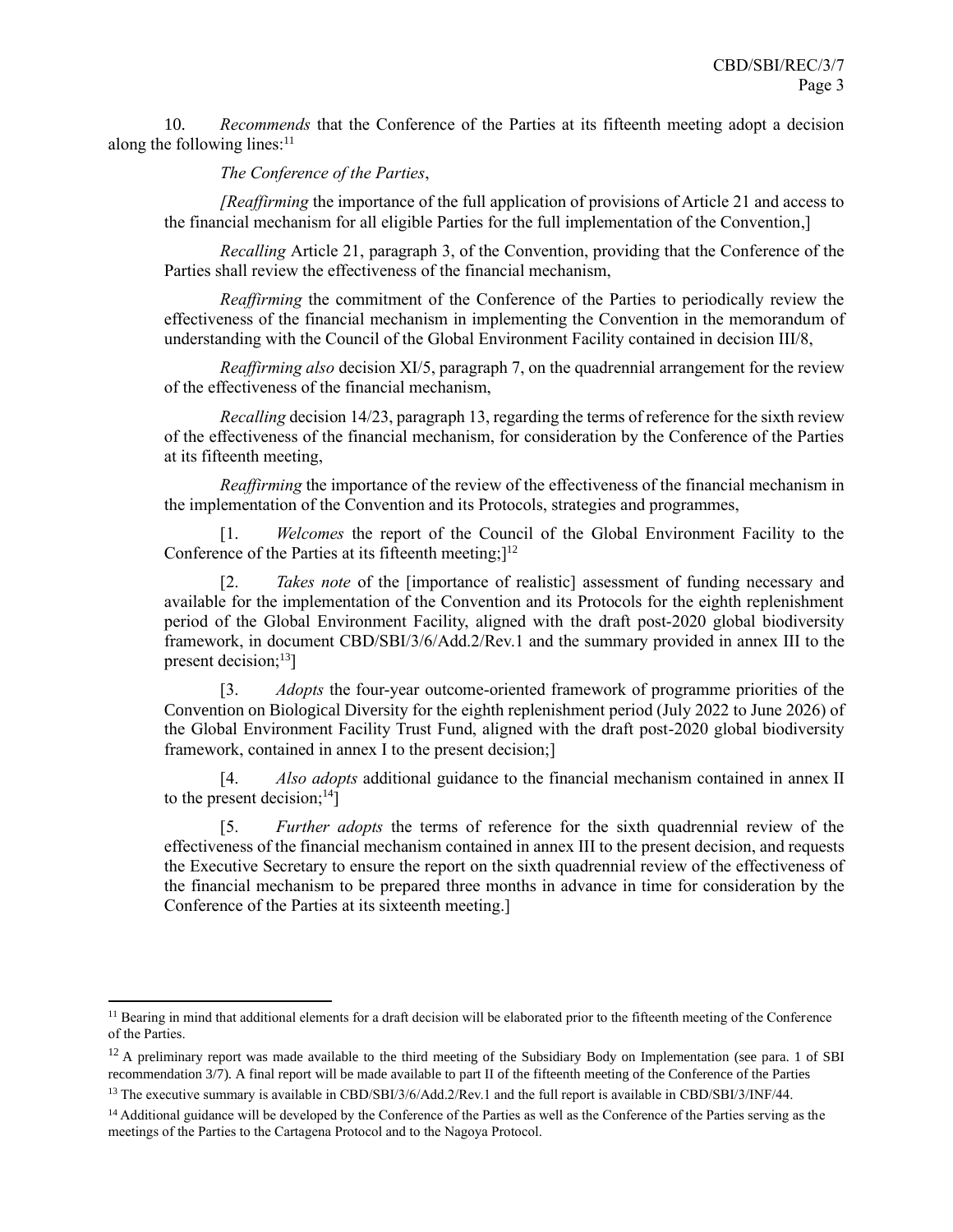10. *Recommends* that the Conference of the Parties at its fifteenth meeting adopt a decision along the following lines:<sup>11</sup>

## *The Conference of the Parties*,

*[Reaffirming* the importance of the full application of provisions of Article 21 and access to the financial mechanism for all eligible Parties for the full implementation of the Convention,]

*Recalling* Article 21, paragraph 3, of the Convention, providing that the Conference of the Parties shall review the effectiveness of the financial mechanism,

*Reaffirming* the commitment of the Conference of the Parties to periodically review the effectiveness of the financial mechanism in implementing the Convention in the memorandum of understanding with the Council of the Global Environment Facility contained in decision III/8,

*Reaffirming also* decision XI/5, paragraph 7, on the quadrennial arrangement for the review of the effectiveness of the financial mechanism,

*Recalling* decision 14/23, paragraph 13, regarding the terms of reference for the sixth review of the effectiveness of the financial mechanism, for consideration by the Conference of the Parties at its fifteenth meeting,

*Reaffirming* the importance of the review of the effectiveness of the financial mechanism in the implementation of the Convention and its Protocols, strategies and programmes,

[1. *Welcomes* the report of the Council of the Global Environment Facility to the Conference of the Parties at its fifteenth meeting; $]^{12}$ 

Takes note of the [importance of realistic] assessment of funding necessary and available for the implementation of the Convention and its Protocols for the eighth replenishment period of the Global Environment Facility, aligned with the draft post-2020 global biodiversity framework, in document CBD/SBI/3/6/Add.2/Rev.1 and the summary provided in annex III to the present decision; $^{13}$ ]

[3. *Adopts* the four-year outcome-oriented framework of programme priorities of the Convention on Biological Diversity for the eighth replenishment period (July 2022 to June 2026) of the Global Environment Facility Trust Fund, aligned with the draft post-2020 global biodiversity framework, contained in annex I to the present decision;]

[4. *Also adopts* additional guidance to the financial mechanism contained in annex II to the present decision; $^{14}$ ]

[5. *Further adopts* the terms of reference for the sixth quadrennial review of the effectiveness of the financial mechanism contained in annex III to the present decision, and requests the Executive Secretary to ensure the report on the sixth quadrennial review of the effectiveness of the financial mechanism to be prepared three months in advance in time for consideration by the Conference of the Parties at its sixteenth meeting.]

<sup>&</sup>lt;sup>11</sup> Bearing in mind that additional elements for a draft decision will be elaborated prior to the fifteenth meeting of the Conference of the Parties.

<sup>&</sup>lt;sup>12</sup> A preliminary report was made available to the third meeting of the Subsidiary Body on Implementation (see para. 1 of SBI recommendation 3/7). A final report will be made available to part II of the fifteenth meeting of the Conference of the Parties

<sup>&</sup>lt;sup>13</sup> The executive summary is available in CBD/SBI/3/6/Add.2/Rev.1 and the full report is available in CBD/SBI/3/INF/44.

<sup>&</sup>lt;sup>14</sup> Additional guidance will be developed by the Conference of the Parties as well as the Conference of the Parties serving as the meetings of the Parties to the Cartagena Protocol and to the Nagoya Protocol.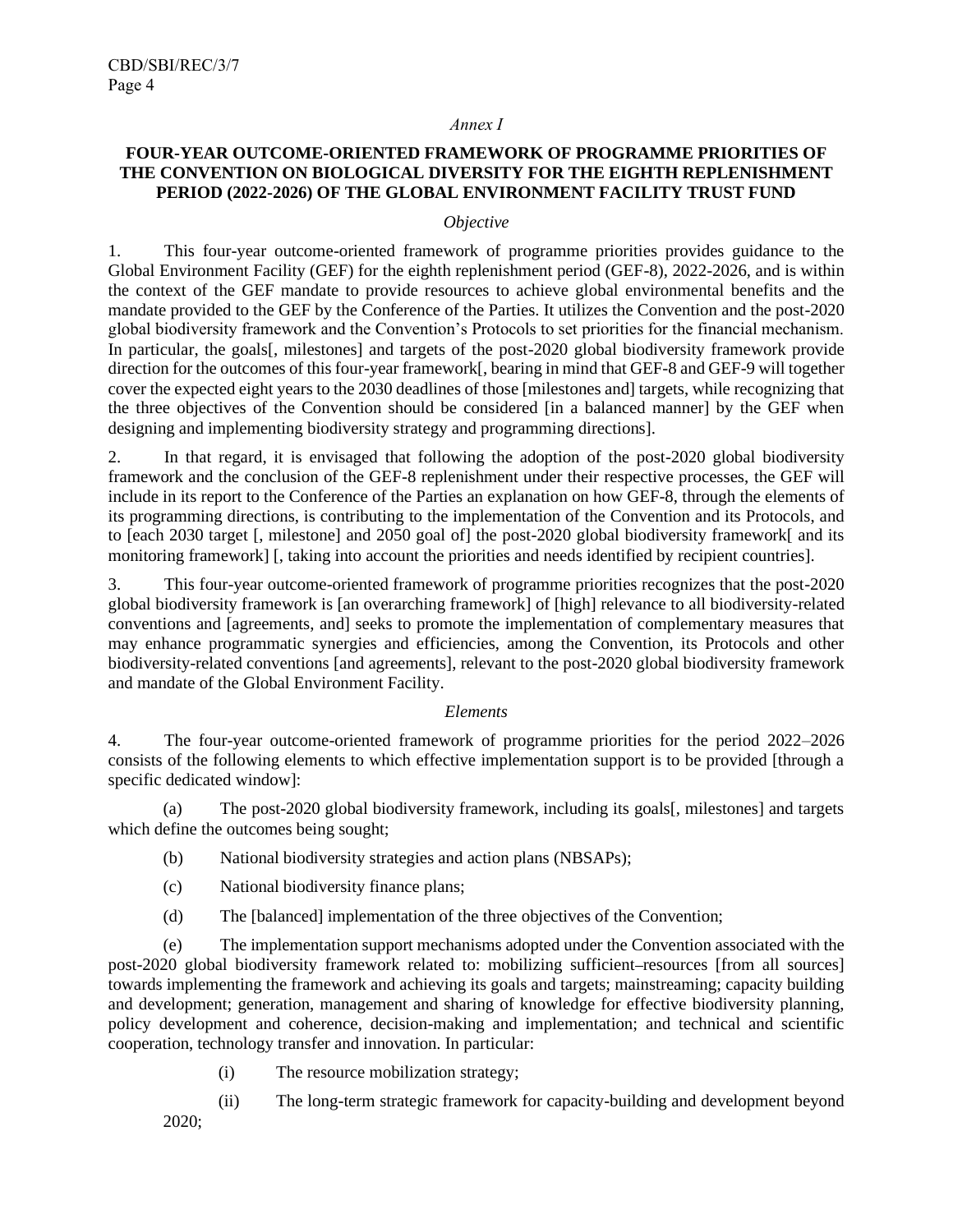#### *Annex I*

# **FOUR-YEAR OUTCOME-ORIENTED FRAMEWORK OF PROGRAMME PRIORITIES OF THE CONVENTION ON BIOLOGICAL DIVERSITY FOR THE EIGHTH REPLENISHMENT PERIOD (2022-2026) OF THE GLOBAL ENVIRONMENT FACILITY TRUST FUND**

#### *Objective*

1. This four-year outcome-oriented framework of programme priorities provides guidance to the Global Environment Facility (GEF) for the eighth replenishment period (GEF-8), 2022-2026, and is within the context of the GEF mandate to provide resources to achieve global environmental benefits and the mandate provided to the GEF by the Conference of the Parties. It utilizes the Convention and the post-2020 global biodiversity framework and the Convention's Protocols to set priorities for the financial mechanism. In particular, the goals[, milestones] and targets of the post-2020 global biodiversity framework provide direction for the outcomes of this four-year framework[, bearing in mind that GEF-8 and GEF-9 will together cover the expected eight years to the 2030 deadlines of those [milestones and] targets, while recognizing that the three objectives of the Convention should be considered [in a balanced manner] by the GEF when designing and implementing biodiversity strategy and programming directions].

2. In that regard, it is envisaged that following the adoption of the post-2020 global biodiversity framework and the conclusion of the GEF-8 replenishment under their respective processes, the GEF will include in its report to the Conference of the Parties an explanation on how GEF-8, through the elements of its programming directions, is contributing to the implementation of the Convention and its Protocols, and to [each 2030 target [, milestone] and 2050 goal of] the post-2020 global biodiversity framework[ and its monitoring framework] [, taking into account the priorities and needs identified by recipient countries].

3. This four-year outcome-oriented framework of programme priorities recognizes that the post-2020 global biodiversity framework is [an overarching framework] of [high] relevance to all biodiversity-related conventions and [agreements, and] seeks to promote the implementation of complementary measures that may enhance programmatic synergies and efficiencies, among the Convention, its Protocols and other biodiversity-related conventions [and agreements], relevant to the post-2020 global biodiversity framework and mandate of the Global Environment Facility.

#### *Elements*

4. The four-year outcome-oriented framework of programme priorities for the period 2022–2026 consists of the following elements to which effective implementation support is to be provided [through a specific dedicated window]:

(a) The post-2020 global biodiversity framework, including its goals[, milestones] and targets which define the outcomes being sought;

- (b) National biodiversity strategies and action plans (NBSAPs);
- (c) National biodiversity finance plans;
- (d) The [balanced] implementation of the three objectives of the Convention;

(e) The implementation support mechanisms adopted under the Convention associated with the post-2020 global biodiversity framework related to: mobilizing sufficient-resources [from all sources] towards implementing the framework and achieving its goals and targets; mainstreaming; capacity building and development; generation, management and sharing of knowledge for effective biodiversity planning, policy development and coherence, decision-making and implementation; and technical and scientific cooperation, technology transfer and innovation. In particular:

- (i) The resource mobilization strategy;
- (ii) The long-term strategic framework for capacity-building and development beyond 2020;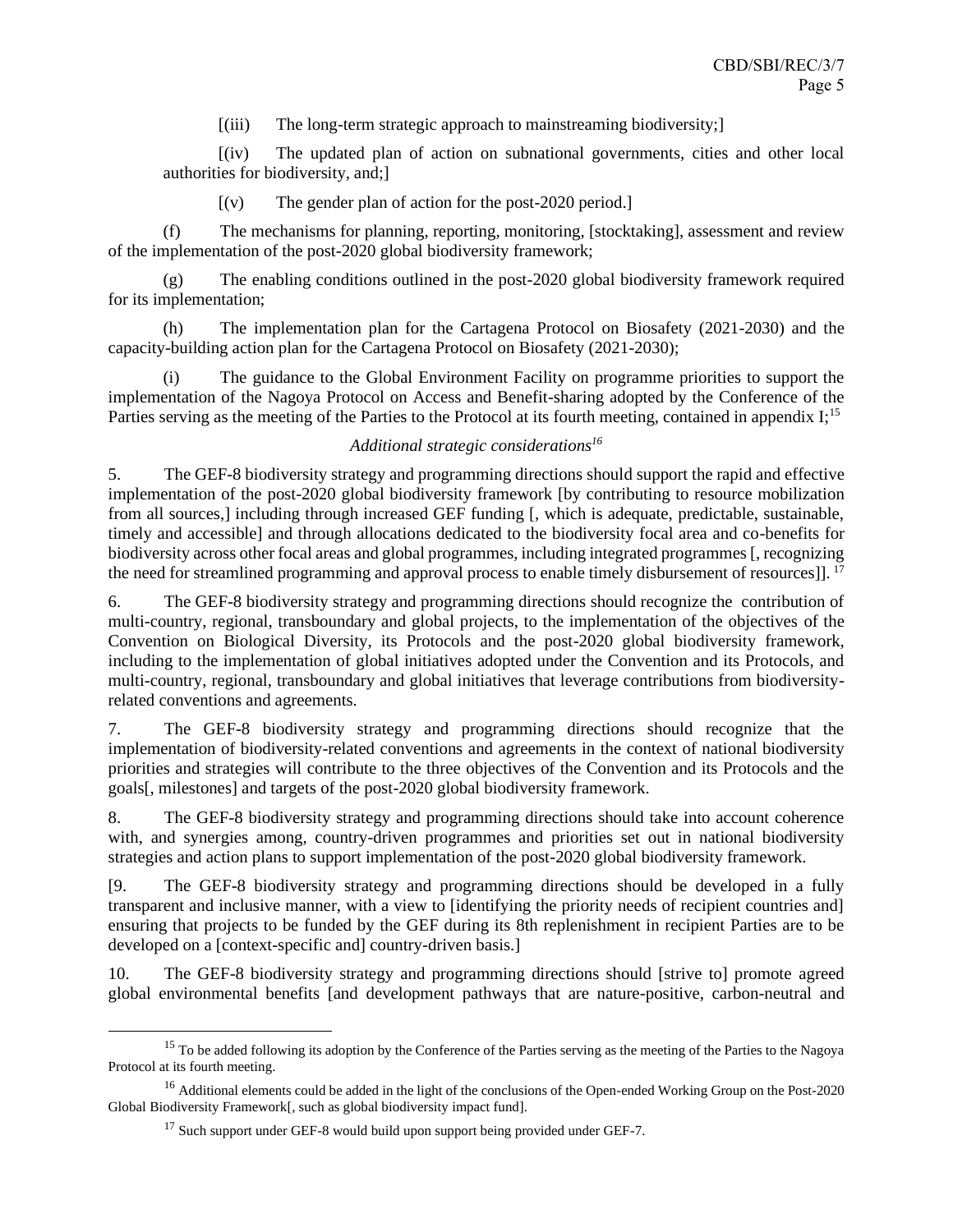[(iii) The long-term strategic approach to mainstreaming biodiversity;]

[(iv) The updated plan of action on subnational governments, cities and other local authorities for biodiversity, and;]

 $[(v)]$  The gender plan of action for the post-2020 period.

(f) The mechanisms for planning, reporting, monitoring, [stocktaking], assessment and review of the implementation of the post-2020 global biodiversity framework;

(g) The enabling conditions outlined in the post-2020 global biodiversity framework required for its implementation;

(h) The implementation plan for the Cartagena Protocol on Biosafety (2021-2030) and the capacity-building action plan for the Cartagena Protocol on Biosafety (2021-2030);

(i) The guidance to the Global Environment Facility on programme priorities to support the implementation of the Nagoya Protocol on Access and Benefit-sharing adopted by the Conference of the Parties serving as the meeting of the Parties to the Protocol at its fourth meeting, contained in appendix I;<sup>15</sup>

# *Additional strategic considerations<sup>16</sup>*

5. The GEF-8 biodiversity strategy and programming directions should support the rapid and effective implementation of the post-2020 global biodiversity framework [by contributing to resource mobilization from all sources,] including through increased GEF funding [, which is adequate, predictable, sustainable, timely and accessible] and through allocations dedicated to the biodiversity focal area and co-benefits for biodiversity across other focal areas and global programmes, including integrated programmes [, recognizing the need for streamlined programming and approval process to enable timely disbursement of resources]. <sup>17</sup>

6. The GEF-8 biodiversity strategy and programming directions should recognize the contribution of multi-country, regional, transboundary and global projects, to the implementation of the objectives of the Convention on Biological Diversity, its Protocols and the post-2020 global biodiversity framework, including to the implementation of global initiatives adopted under the Convention and its Protocols, and multi-country, regional, transboundary and global initiatives that leverage contributions from biodiversityrelated conventions and agreements.

7. The GEF-8 biodiversity strategy and programming directions should recognize that the implementation of biodiversity-related conventions and agreements in the context of national biodiversity priorities and strategies will contribute to the three objectives of the Convention and its Protocols and the goals[, milestones] and targets of the post-2020 global biodiversity framework.

8. The GEF-8 biodiversity strategy and programming directions should take into account coherence with, and synergies among, country-driven programmes and priorities set out in national biodiversity strategies and action plans to support implementation of the post-2020 global biodiversity framework.

[9. The GEF-8 biodiversity strategy and programming directions should be developed in a fully transparent and inclusive manner, with a view to [identifying the priority needs of recipient countries and] ensuring that projects to be funded by the GEF during its 8th replenishment in recipient Parties are to be developed on a [context-specific and] country-driven basis.]

10. The GEF-8 biodiversity strategy and programming directions should [strive to] promote agreed global environmental benefits [and development pathways that are nature-positive, carbon-neutral and

<sup>&</sup>lt;sup>15</sup> To be added following its adoption by the Conference of the Parties serving as the meeting of the Parties to the Nagoya Protocol at its fourth meeting.

<sup>&</sup>lt;sup>16</sup> Additional elements could be added in the light of the conclusions of the Open-ended Working Group on the Post-2020 Global Biodiversity Framework[, such as global biodiversity impact fund].

 $17$  Such support under GEF-8 would build upon support being provided under GEF-7.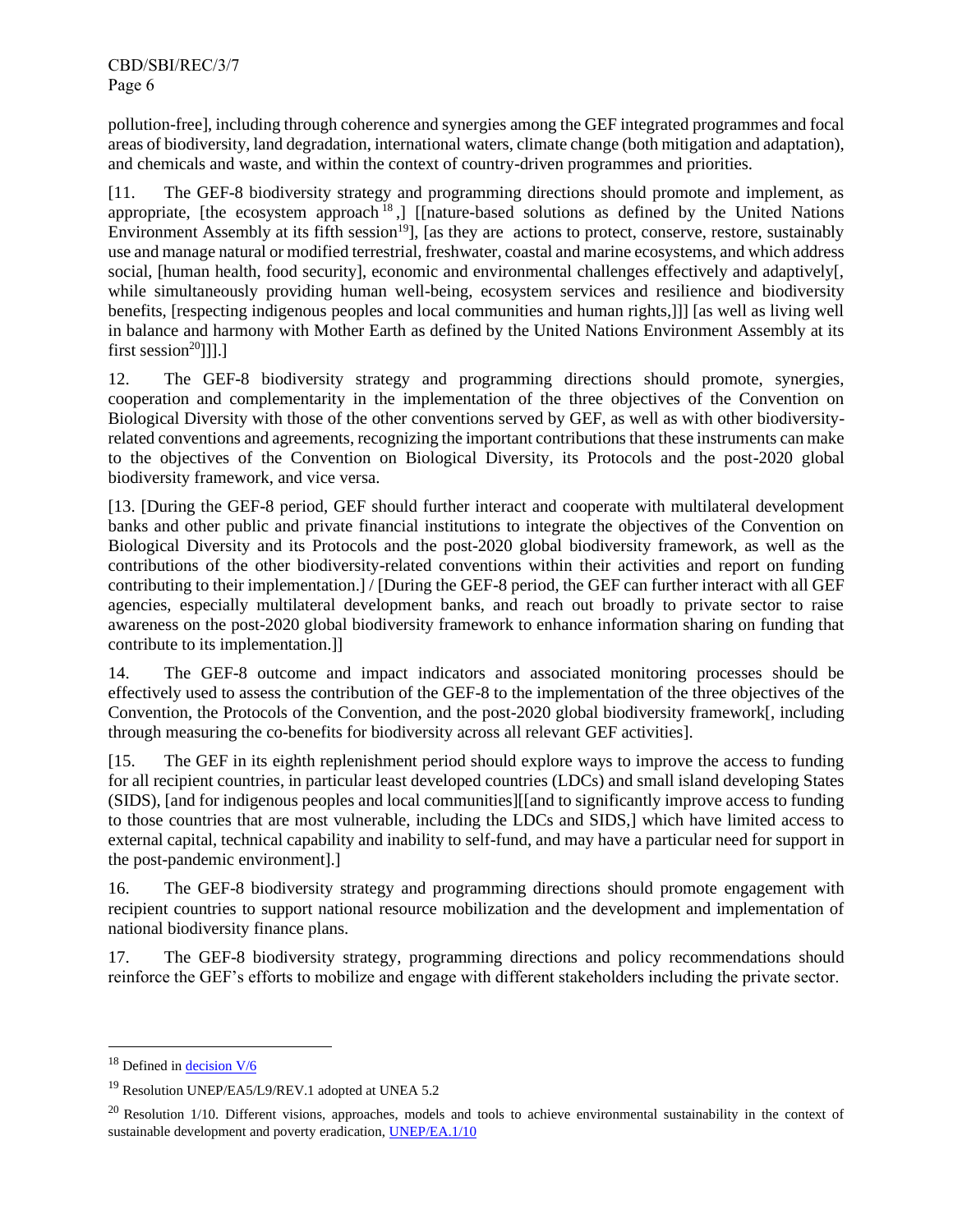pollution-free], including through coherence and synergies among the GEF integrated programmes and focal areas of biodiversity, land degradation, international waters, climate change (both mitigation and adaptation), and chemicals and waste, and within the context of country-driven programmes and priorities.

[11. The GEF-8 biodiversity strategy and programming directions should promote and implement, as appropriate, [the ecosystem approach<sup>18</sup>,] [[nature-based solutions as defined by the United Nations Environment Assembly at its fifth session<sup>19</sup>, [as they are actions to protect, conserve, restore, sustainably use and manage natural or modified terrestrial, freshwater, coastal and marine ecosystems, and which address social, [human health, food security], economic and environmental challenges effectively and adaptively[, while simultaneously providing human well-being, ecosystem services and resilience and biodiversity benefits, [respecting indigenous peoples and local communities and human rights,]]] [as well as living well in balance and harmony with Mother Earth as defined by the United Nations Environment Assembly at its first session<sup>20</sup>]]].]

12. The GEF-8 biodiversity strategy and programming directions should promote, synergies, cooperation and complementarity in the implementation of the three objectives of the Convention on Biological Diversity with those of the other conventions served by GEF, as well as with other biodiversityrelated conventions and agreements, recognizing the important contributions that these instruments can make to the objectives of the Convention on Biological Diversity, its Protocols and the post-2020 global biodiversity framework, and vice versa.

[13. [During the GEF-8 period, GEF should further interact and cooperate with multilateral development banks and other public and private financial institutions to integrate the objectives of the Convention on Biological Diversity and its Protocols and the post-2020 global biodiversity framework, as well as the contributions of the other biodiversity-related conventions within their activities and report on funding contributing to their implementation.] / [During the GEF-8 period, the GEF can further interact with all GEF agencies, especially multilateral development banks, and reach out broadly to private sector to raise awareness on the post-2020 global biodiversity framework to enhance information sharing on funding that contribute to its implementation.]]

14. The GEF-8 outcome and impact indicators and associated monitoring processes should be effectively used to assess the contribution of the GEF-8 to the implementation of the three objectives of the Convention, the Protocols of the Convention, and the post-2020 global biodiversity framework[, including through measuring the co-benefits for biodiversity across all relevant GEF activities].

[15. The GEF in its eighth replenishment period should explore ways to improve the access to funding for all recipient countries, in particular least developed countries (LDCs) and small island developing States (SIDS), [and for indigenous peoples and local communities][[and to significantly improve access to funding to those countries that are most vulnerable, including the LDCs and SIDS,] which have limited access to external capital, technical capability and inability to self-fund, and may have a particular need for support in the post-pandemic environment].]

16. The GEF-8 biodiversity strategy and programming directions should promote engagement with recipient countries to support national resource mobilization and the development and implementation of national biodiversity finance plans.

17. The GEF-8 biodiversity strategy, programming directions and policy recommendations should reinforce the GEF's efforts to mobilize and engage with different stakeholders including the private sector.

<sup>&</sup>lt;sup>18</sup> Defined in **decision** V/6

<sup>19</sup> Resolution UNEP/EA5/L9/REV.1 adopted at UNEA 5.2

 $^{20}$  Resolution 1/10. Different visions, approaches, models and tools to achieve environmental sustainability in the context of sustainable development and poverty eradication, [UNEP/EA.1/10](https://wedocs.unep.org/bitstream/handle/20.500.11822/17289/K1402481.pdf?sequence=6&isAllowed=y)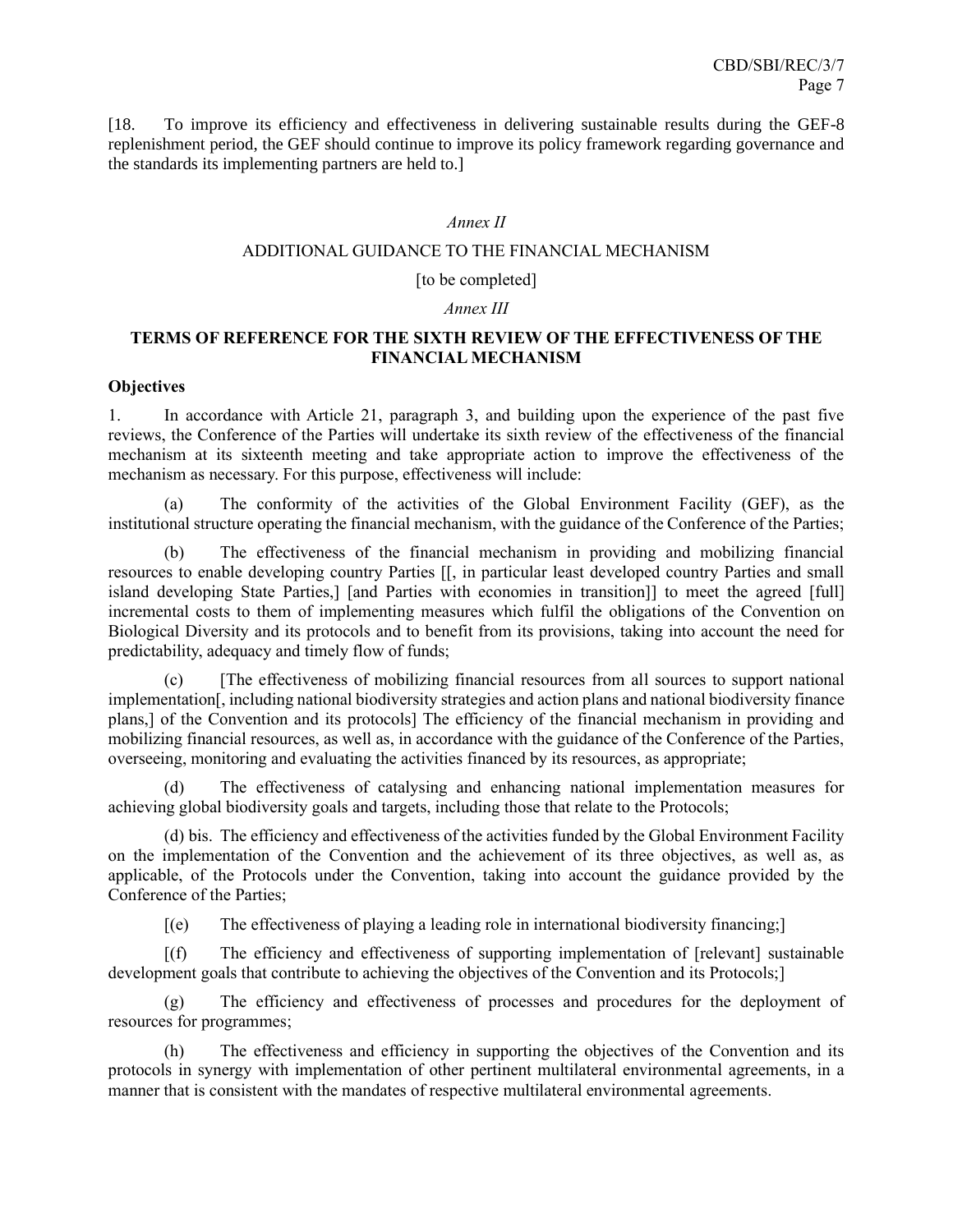[18. To improve its efficiency and effectiveness in delivering sustainable results during the GEF-8 replenishment period, the GEF should continue to improve its policy framework regarding governance and the standards its implementing partners are held to.]

### *Annex II*

### ADDITIONAL GUIDANCE TO THE FINANCIAL MECHANISM

#### [to be completed]

### *Annex III*

# **TERMS OF REFERENCE FOR THE SIXTH REVIEW OF THE EFFECTIVENESS OF THE FINANCIAL MECHANISM**

### **Objectives**

1. In accordance with Article 21, paragraph 3, and building upon the experience of the past five reviews, the Conference of the Parties will undertake its sixth review of the effectiveness of the financial mechanism at its sixteenth meeting and take appropriate action to improve the effectiveness of the mechanism as necessary. For this purpose, effectiveness will include:

(a) The conformity of the activities of the Global Environment Facility (GEF), as the institutional structure operating the financial mechanism, with the guidance of the Conference of the Parties;

(b) The effectiveness of the financial mechanism in providing and mobilizing financial resources to enable developing country Parties [[, in particular least developed country Parties and small island developing State Parties,] [and Parties with economies in transition]] to meet the agreed [full] incremental costs to them of implementing measures which fulfil the obligations of the Convention on Biological Diversity and its protocols and to benefit from its provisions, taking into account the need for predictability, adequacy and timely flow of funds;

(c) [The effectiveness of mobilizing financial resources from all sources to support national implementation[, including national biodiversity strategies and action plans and national biodiversity finance plans,] of the Convention and its protocols] The efficiency of the financial mechanism in providing and mobilizing financial resources, as well as, in accordance with the guidance of the Conference of the Parties, overseeing, monitoring and evaluating the activities financed by its resources, as appropriate;

The effectiveness of catalysing and enhancing national implementation measures for achieving global biodiversity goals and targets, including those that relate to the Protocols;

(d) bis. The efficiency and effectiveness of the activities funded by the Global Environment Facility on the implementation of the Convention and the achievement of its three objectives, as well as, as applicable, of the Protocols under the Convention, taking into account the guidance provided by the Conference of the Parties;

[(e) The effectiveness of playing a leading role in international biodiversity financing;]

[(f) The efficiency and effectiveness of supporting implementation of [relevant] sustainable development goals that contribute to achieving the objectives of the Convention and its Protocols;]

(g) The efficiency and effectiveness of processes and procedures for the deployment of resources for programmes;

(h) The effectiveness and efficiency in supporting the objectives of the Convention and its protocols in synergy with implementation of other pertinent multilateral environmental agreements, in a manner that is consistent with the mandates of respective multilateral environmental agreements.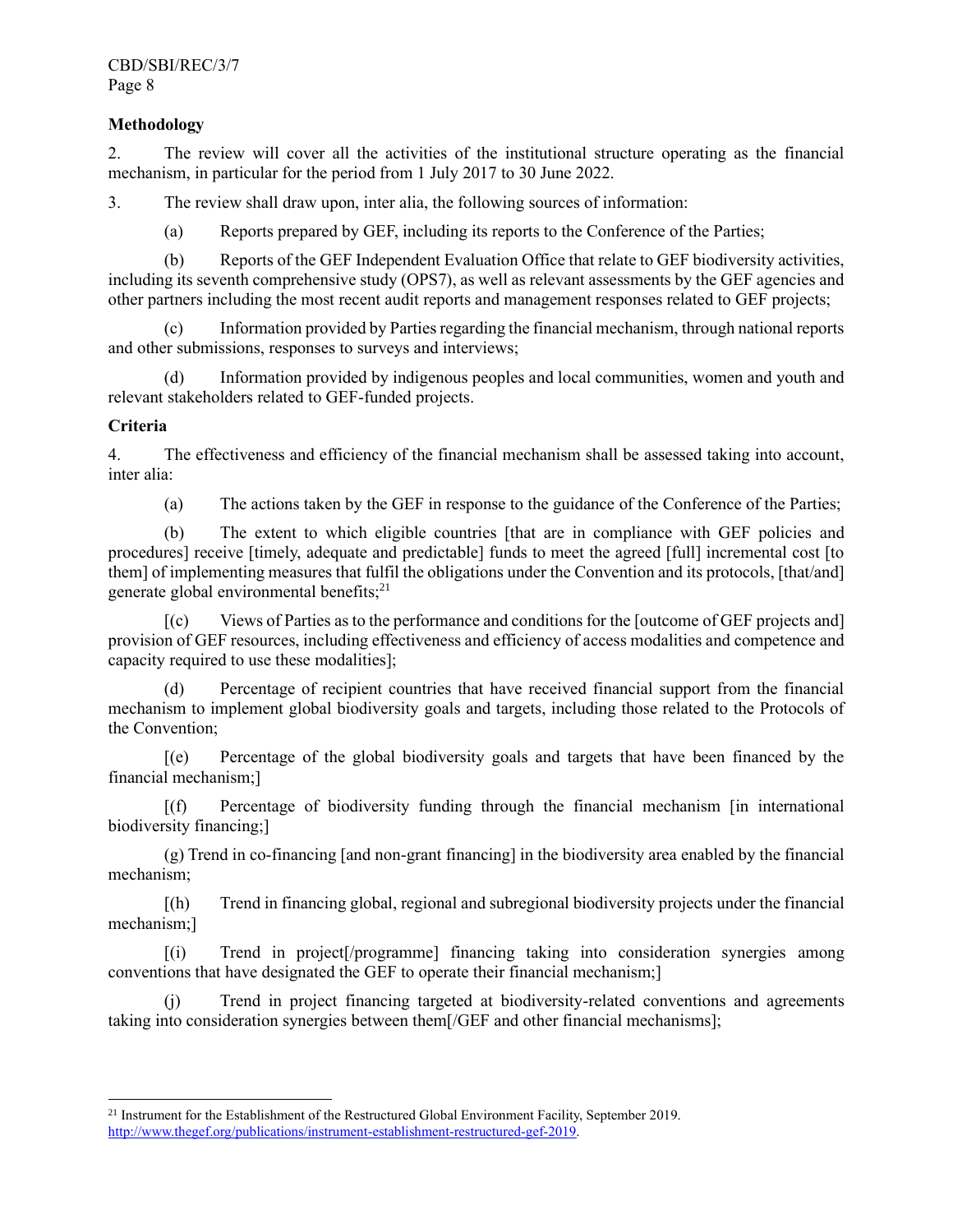# **Methodology**

2. The review will cover all the activities of the institutional structure operating as the financial mechanism, in particular for the period from 1 July 2017 to 30 June 2022.

3. The review shall draw upon, inter alia, the following sources of information:

(a) Reports prepared by GEF, including its reports to the Conference of the Parties;

(b) Reports of the GEF Independent Evaluation Office that relate to GEF biodiversity activities, including its seventh comprehensive study (OPS7), as well as relevant assessments by the GEF agencies and other partners including the most recent audit reports and management responses related to GEF projects;

(c) Information provided by Parties regarding the financial mechanism, through national reports and other submissions, responses to surveys and interviews;

(d) Information provided by indigenous peoples and local communities, women and youth and relevant stakeholders related to GEF-funded projects.

## **Criteria**

4. The effectiveness and efficiency of the financial mechanism shall be assessed taking into account, inter alia:

(a) The actions taken by the GEF in response to the guidance of the Conference of the Parties;

(b) The extent to which eligible countries [that are in compliance with GEF policies and procedures] receive [timely, adequate and predictable] funds to meet the agreed [full] incremental cost [to them] of implementing measures that fulfil the obligations under the Convention and its protocols, [that/and] generate global environmental benefits;<sup>21</sup>

[(c) Views of Parties as to the performance and conditions for the [outcome of GEF projects and] provision of GEF resources, including effectiveness and efficiency of access modalities and competence and capacity required to use these modalities];

(d) Percentage of recipient countries that have received financial support from the financial mechanism to implement global biodiversity goals and targets, including those related to the Protocols of the Convention;

[(e) Percentage of the global biodiversity goals and targets that have been financed by the financial mechanism;]

[(f) Percentage of biodiversity funding through the financial mechanism [in international biodiversity financing;]

(g) Trend in co-financing [and non-grant financing] in the biodiversity area enabled by the financial mechanism;

[(h) Trend in financing global, regional and subregional biodiversity projects under the financial mechanism;]

[(i) Trend in project[/programme] financing taking into consideration synergies among conventions that have designated the GEF to operate their financial mechanism;]

(j) Trend in project financing targeted at biodiversity-related conventions and agreements taking into consideration synergies between them[/GEF and other financial mechanisms];

<sup>&</sup>lt;sup>21</sup> Instrument for the Establishment of the Restructured Global Environment Facility, September 2019. [http://www.thegef.org/publications/instrument-establishment-restructured-gef-2019.](http://www.thegef.org/publications/instrument-establishment-restructured-gef-2019)